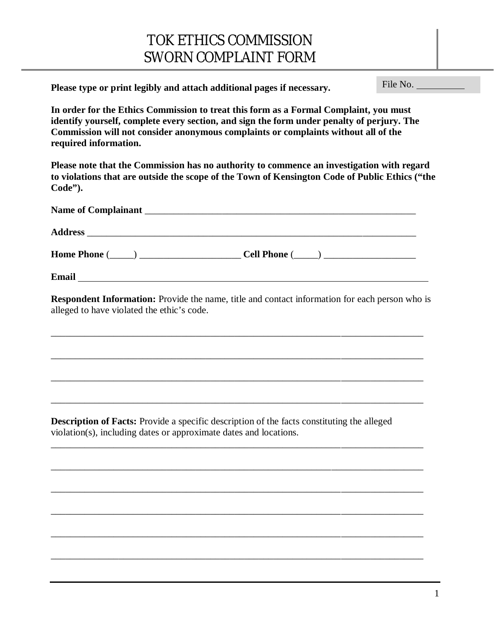## TOK ETHICS COMMISSION SWORN COMPLAINT FORM

**Please type or print legibly and attach additional pages if necessary.** 

File No.

**In order for the Ethics Commission to treat this form as a Formal Complaint, you must identify yourself, complete every section, and sign the form under penalty of perjury. The Commission will not consider anonymous complaints or complaints without all of the required information.**

**Please note that the Commission has no authority to commence an investigation with regard to violations that are outside the scope of the Town of Kensington Code of Public Ethics ("the Code").**

| Name of Complainant |                               |
|---------------------|-------------------------------|
|                     |                               |
| Home Phone $(\_\_)$ | $\text{Cell Phone} (\_\_\_\_$ |
| <b>Email</b>        |                               |

**Respondent Information:** Provide the name, title and contact information for each person who is alleged to have violated the ethic's code.

\_\_\_\_\_\_\_\_\_\_\_\_\_\_\_\_\_\_\_\_\_\_\_\_\_\_\_\_\_\_\_\_\_\_\_\_\_\_\_\_\_\_\_\_\_\_\_\_\_\_\_\_\_\_\_\_\_\_\_\_\_\_\_\_\_\_\_\_\_\_\_\_\_\_\_\_\_

\_\_\_\_\_\_\_\_\_\_\_\_\_\_\_\_\_\_\_\_\_\_\_\_\_\_\_\_\_\_\_\_\_\_\_\_\_\_\_\_\_\_\_\_\_\_\_\_\_\_\_\_\_\_\_\_\_\_\_\_\_\_\_\_\_\_\_\_\_\_\_\_\_\_\_\_\_

\_\_\_\_\_\_\_\_\_\_\_\_\_\_\_\_\_\_\_\_\_\_\_\_\_\_\_\_\_\_\_\_\_\_\_\_\_\_\_\_\_\_\_\_\_\_\_\_\_\_\_\_\_\_\_\_\_\_\_\_\_\_\_\_\_\_\_\_\_\_\_\_\_\_\_\_\_

\_\_\_\_\_\_\_\_\_\_\_\_\_\_\_\_\_\_\_\_\_\_\_\_\_\_\_\_\_\_\_\_\_\_\_\_\_\_\_\_\_\_\_\_\_\_\_\_\_\_\_\_\_\_\_\_\_\_\_\_\_\_\_\_\_\_\_\_\_\_\_\_\_\_\_\_\_

\_\_\_\_\_\_\_\_\_\_\_\_\_\_\_\_\_\_\_\_\_\_\_\_\_\_\_\_\_\_\_\_\_\_\_\_\_\_\_\_\_\_\_\_\_\_\_\_\_\_\_\_\_\_\_\_\_\_\_\_\_\_\_\_\_\_\_\_\_\_\_\_\_\_\_\_\_

\_\_\_\_\_\_\_\_\_\_\_\_\_\_\_\_\_\_\_\_\_\_\_\_\_\_\_\_\_\_\_\_\_\_\_\_\_\_\_\_\_\_\_\_\_\_\_\_\_\_\_\_\_\_\_\_\_\_\_\_\_\_\_\_\_\_\_\_\_\_\_\_\_\_\_\_\_

\_\_\_\_\_\_\_\_\_\_\_\_\_\_\_\_\_\_\_\_\_\_\_\_\_\_\_\_\_\_\_\_\_\_\_\_\_\_\_\_\_\_\_\_\_\_\_\_\_\_\_\_\_\_\_\_\_\_\_\_\_\_\_\_\_\_\_\_\_\_\_\_\_\_\_\_\_

\_\_\_\_\_\_\_\_\_\_\_\_\_\_\_\_\_\_\_\_\_\_\_\_\_\_\_\_\_\_\_\_\_\_\_\_\_\_\_\_\_\_\_\_\_\_\_\_\_\_\_\_\_\_\_\_\_\_\_\_\_\_\_\_\_\_\_\_\_\_\_\_\_\_\_\_\_

\_\_\_\_\_\_\_\_\_\_\_\_\_\_\_\_\_\_\_\_\_\_\_\_\_\_\_\_\_\_\_\_\_\_\_\_\_\_\_\_\_\_\_\_\_\_\_\_\_\_\_\_\_\_\_\_\_\_\_\_\_\_\_\_\_\_\_\_\_\_\_\_\_\_\_\_\_

\_\_\_\_\_\_\_\_\_\_\_\_\_\_\_\_\_\_\_\_\_\_\_\_\_\_\_\_\_\_\_\_\_\_\_\_\_\_\_\_\_\_\_\_\_\_\_\_\_\_\_\_\_\_\_\_\_\_\_\_\_\_\_\_\_\_\_\_\_\_\_\_\_\_\_\_\_

**Description of Facts:** Provide a specific description of the facts constituting the alleged violation(s), including dates or approximate dates and locations.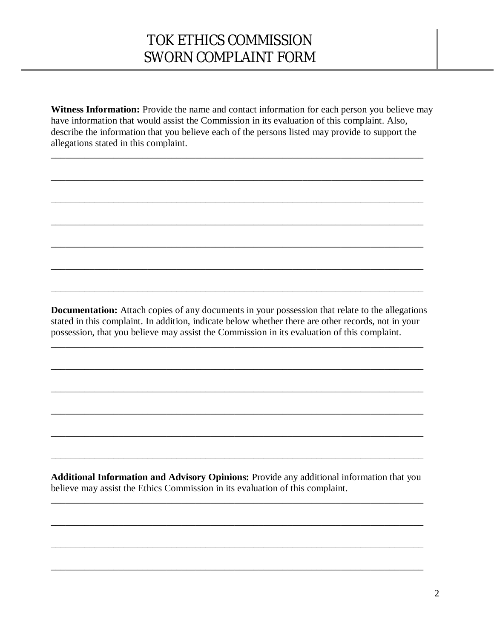## TOK ETHICS COMMISSION SWORN COMPLAINT FORM

**Witness Information:** Provide the name and contact information for each person you believe may have information that would assist the Commission in its evaluation of this complaint. Also, describe the information that you believe each of the persons listed may provide to support the allegations stated in this complaint.

\_\_\_\_\_\_\_\_\_\_\_\_\_\_\_\_\_\_\_\_\_\_\_\_\_\_\_\_\_\_\_\_\_\_\_\_\_\_\_\_\_\_\_\_\_\_\_\_\_\_\_\_\_\_\_\_\_\_\_\_\_\_\_\_\_\_\_\_\_\_\_\_\_\_\_\_\_

\_\_\_\_\_\_\_\_\_\_\_\_\_\_\_\_\_\_\_\_\_\_\_\_\_\_\_\_\_\_\_\_\_\_\_\_\_\_\_\_\_\_\_\_\_\_\_\_\_\_\_\_\_\_\_\_\_\_\_\_\_\_\_\_\_\_\_\_\_\_\_\_\_\_\_\_\_

\_\_\_\_\_\_\_\_\_\_\_\_\_\_\_\_\_\_\_\_\_\_\_\_\_\_\_\_\_\_\_\_\_\_\_\_\_\_\_\_\_\_\_\_\_\_\_\_\_\_\_\_\_\_\_\_\_\_\_\_\_\_\_\_\_\_\_\_\_\_\_\_\_\_\_\_\_

\_\_\_\_\_\_\_\_\_\_\_\_\_\_\_\_\_\_\_\_\_\_\_\_\_\_\_\_\_\_\_\_\_\_\_\_\_\_\_\_\_\_\_\_\_\_\_\_\_\_\_\_\_\_\_\_\_\_\_\_\_\_\_\_\_\_\_\_\_\_\_\_\_\_\_\_\_

\_\_\_\_\_\_\_\_\_\_\_\_\_\_\_\_\_\_\_\_\_\_\_\_\_\_\_\_\_\_\_\_\_\_\_\_\_\_\_\_\_\_\_\_\_\_\_\_\_\_\_\_\_\_\_\_\_\_\_\_\_\_\_\_\_\_\_\_\_\_\_\_\_\_\_\_\_

\_\_\_\_\_\_\_\_\_\_\_\_\_\_\_\_\_\_\_\_\_\_\_\_\_\_\_\_\_\_\_\_\_\_\_\_\_\_\_\_\_\_\_\_\_\_\_\_\_\_\_\_\_\_\_\_\_\_\_\_\_\_\_\_\_\_\_\_\_\_\_\_\_\_\_\_\_

\_\_\_\_\_\_\_\_\_\_\_\_\_\_\_\_\_\_\_\_\_\_\_\_\_\_\_\_\_\_\_\_\_\_\_\_\_\_\_\_\_\_\_\_\_\_\_\_\_\_\_\_\_\_\_\_\_\_\_\_\_\_\_\_\_\_\_\_\_\_\_\_\_\_\_\_\_

**Documentation:** Attach copies of any documents in your possession that relate to the allegations stated in this complaint. In addition, indicate below whether there are other records, not in your possession, that you believe may assist the Commission in its evaluation of this complaint.

\_\_\_\_\_\_\_\_\_\_\_\_\_\_\_\_\_\_\_\_\_\_\_\_\_\_\_\_\_\_\_\_\_\_\_\_\_\_\_\_\_\_\_\_\_\_\_\_\_\_\_\_\_\_\_\_\_\_\_\_\_\_\_\_\_\_\_\_\_\_\_\_\_\_\_\_\_

\_\_\_\_\_\_\_\_\_\_\_\_\_\_\_\_\_\_\_\_\_\_\_\_\_\_\_\_\_\_\_\_\_\_\_\_\_\_\_\_\_\_\_\_\_\_\_\_\_\_\_\_\_\_\_\_\_\_\_\_\_\_\_\_\_\_\_\_\_\_\_\_\_\_\_\_\_

\_\_\_\_\_\_\_\_\_\_\_\_\_\_\_\_\_\_\_\_\_\_\_\_\_\_\_\_\_\_\_\_\_\_\_\_\_\_\_\_\_\_\_\_\_\_\_\_\_\_\_\_\_\_\_\_\_\_\_\_\_\_\_\_\_\_\_\_\_\_\_\_\_\_\_\_\_

\_\_\_\_\_\_\_\_\_\_\_\_\_\_\_\_\_\_\_\_\_\_\_\_\_\_\_\_\_\_\_\_\_\_\_\_\_\_\_\_\_\_\_\_\_\_\_\_\_\_\_\_\_\_\_\_\_\_\_\_\_\_\_\_\_\_\_\_\_\_\_\_\_\_\_\_\_

\_\_\_\_\_\_\_\_\_\_\_\_\_\_\_\_\_\_\_\_\_\_\_\_\_\_\_\_\_\_\_\_\_\_\_\_\_\_\_\_\_\_\_\_\_\_\_\_\_\_\_\_\_\_\_\_\_\_\_\_\_\_\_\_\_\_\_\_\_\_\_\_\_\_\_\_\_

\_\_\_\_\_\_\_\_\_\_\_\_\_\_\_\_\_\_\_\_\_\_\_\_\_\_\_\_\_\_\_\_\_\_\_\_\_\_\_\_\_\_\_\_\_\_\_\_\_\_\_\_\_\_\_\_\_\_\_\_\_\_\_\_\_\_\_\_\_\_\_\_\_\_\_\_\_

**Additional Information and Advisory Opinions:** Provide any additional information that you believe may assist the Ethics Commission in its evaluation of this complaint.

\_\_\_\_\_\_\_\_\_\_\_\_\_\_\_\_\_\_\_\_\_\_\_\_\_\_\_\_\_\_\_\_\_\_\_\_\_\_\_\_\_\_\_\_\_\_\_\_\_\_\_\_\_\_\_\_\_\_\_\_\_\_\_\_\_\_\_\_\_\_\_\_\_\_\_\_\_

\_\_\_\_\_\_\_\_\_\_\_\_\_\_\_\_\_\_\_\_\_\_\_\_\_\_\_\_\_\_\_\_\_\_\_\_\_\_\_\_\_\_\_\_\_\_\_\_\_\_\_\_\_\_\_\_\_\_\_\_\_\_\_\_\_\_\_\_\_\_\_\_\_\_\_\_\_

\_\_\_\_\_\_\_\_\_\_\_\_\_\_\_\_\_\_\_\_\_\_\_\_\_\_\_\_\_\_\_\_\_\_\_\_\_\_\_\_\_\_\_\_\_\_\_\_\_\_\_\_\_\_\_\_\_\_\_\_\_\_\_\_\_\_\_\_\_\_\_\_\_\_\_\_\_

\_\_\_\_\_\_\_\_\_\_\_\_\_\_\_\_\_\_\_\_\_\_\_\_\_\_\_\_\_\_\_\_\_\_\_\_\_\_\_\_\_\_\_\_\_\_\_\_\_\_\_\_\_\_\_\_\_\_\_\_\_\_\_\_\_\_\_\_\_\_\_\_\_\_\_\_\_